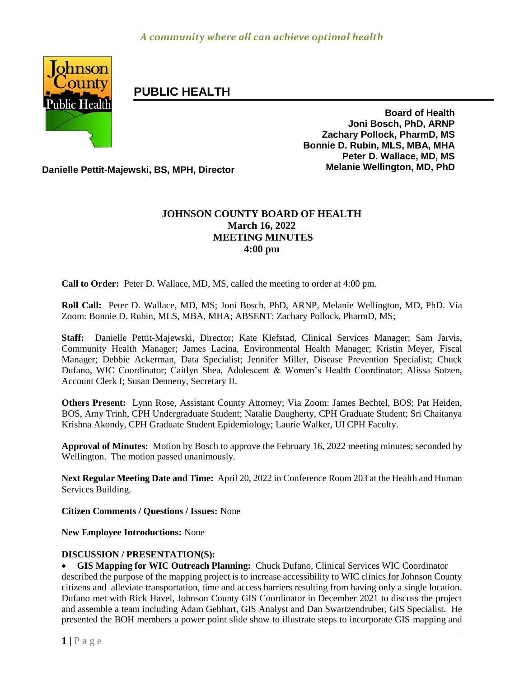

# **PUBLIC HEALTH**

**Board of Health Joni Bosch, PhD, ARNP Zachary Pollock, PharmD, MS Bonnie D. Rubin, MLS, MBA, MHA Peter D. Wallace, MD, MS**

**Danielle Pettit-Majewski, BS, MPH, Director Melanie Wellington, MD, PhD**

# **JOHNSON COUNTY BOARD OF HEALTH March 16, 2022 MEETING MINUTES 4:00 pm**

**Call to Order:** Peter D. Wallace, MD, MS, called the meeting to order at 4:00 pm.

**Roll Call:** Peter D. Wallace, MD, MS; Joni Bosch, PhD, ARNP, Melanie Wellington, MD, PhD. Via Zoom: Bonnie D. Rubin, MLS, MBA, MHA; ABSENT: Zachary Pollock, PharmD, MS;

**Staff:** Danielle Pettit-Majewski, Director; Kate Klefstad, Clinical Services Manager; Sam Jarvis, Community Health Manager; James Lacina, Environmental Health Manager; Kristin Meyer, Fiscal Manager; Debbie Ackerman, Data Specialist; Jennifer Miller, Disease Prevention Specialist; Chuck Dufano, WIC Coordinator; Caitlyn Shea, Adolescent & Women's Health Coordinator; Alissa Sotzen, Account Clerk I; Susan Denneny, Secretary II.

**Others Present:** Lynn Rose, Assistant County Attorney; Via Zoom: James Bechtel, BOS; Pat Heiden, BOS, Amy Trinh, CPH Undergraduate Student; Natalie Daugherty, CPH Graduate Student; Sri Chaitanya Krishna Akondy, CPH Graduate Student Epidemiology; Laurie Walker, UI CPH Faculty.

**Approval of Minutes:** Motion by Bosch to approve the February 16, 2022 meeting minutes; seconded by Wellington. The motion passed unanimously.

**Next Regular Meeting Date and Time:** April 20, 2022 in Conference Room 203 at the Health and Human Services Building.

**Citizen Comments / Questions / Issues:** None

**New Employee Introductions:** None

## **DISCUSSION / PRESENTATION(S):**

 **GIS Mapping for WIC Outreach Planning:** Chuck Dufano, Clinical Services WIC Coordinator described the purpose of the mapping project is to increase accessibility to WIC clinics for Johnson County citizens and alleviate transportation, time and access barriers resulting from having only a single location. Dufano met with Rick Havel, Johnson County GIS Coordinator in December 2021 to discuss the project and assemble a team including Adam Gebhart, GIS Analyst and Dan Swartzendruber, GIS Specialist. He presented the BOH members a power point slide show to illustrate steps to incorporate GIS mapping and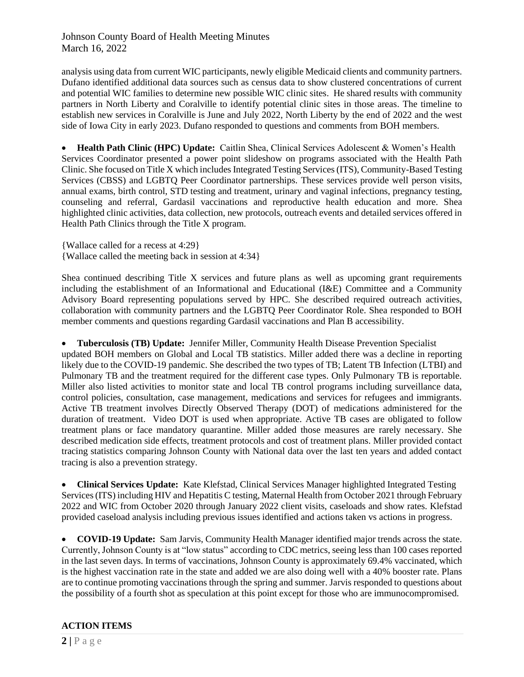Johnson County Board of Health Meeting Minutes March 16, 2022

analysis using data from current WIC participants, newly eligible Medicaid clients and community partners. Dufano identified additional data sources such as census data to show clustered concentrations of current and potential WIC families to determine new possible WIC clinic sites. He shared results with community partners in North Liberty and Coralville to identify potential clinic sites in those areas. The timeline to establish new services in Coralville is June and July 2022, North Liberty by the end of 2022 and the west side of Iowa City in early 2023. Dufano responded to questions and comments from BOH members.

 **Health Path Clinic (HPC) Update:** Caitlin Shea, Clinical Services Adolescent & Women's Health Services Coordinator presented a power point slideshow on programs associated with the Health Path Clinic. She focused on Title X which includes Integrated Testing Services (ITS), Community-Based Testing Services (CBSS) and LGBTQ Peer Coordinator partnerships. These services provide well person visits, annual exams, birth control, STD testing and treatment, urinary and vaginal infections, pregnancy testing, counseling and referral, Gardasil vaccinations and reproductive health education and more. Shea highlighted clinic activities, data collection, new protocols, outreach events and detailed services offered in Health Path Clinics through the Title X program.

{Wallace called for a recess at 4:29}

{Wallace called the meeting back in session at 4:34}

Shea continued describing Title X services and future plans as well as upcoming grant requirements including the establishment of an Informational and Educational (I&E) Committee and a Community Advisory Board representing populations served by HPC. She described required outreach activities, collaboration with community partners and the LGBTQ Peer Coordinator Role. Shea responded to BOH member comments and questions regarding Gardasil vaccinations and Plan B accessibility.

 **Tuberculosis (TB) Update:** Jennifer Miller, Community Health Disease Prevention Specialist updated BOH members on Global and Local TB statistics. Miller added there was a decline in reporting likely due to the COVID-19 pandemic. She described the two types of TB; Latent TB Infection (LTBI) and Pulmonary TB and the treatment required for the different case types. Only Pulmonary TB is reportable. Miller also listed activities to monitor state and local TB control programs including surveillance data, control policies, consultation, case management, medications and services for refugees and immigrants. Active TB treatment involves Directly Observed Therapy (DOT) of medications administered for the duration of treatment. Video DOT is used when appropriate. Active TB cases are obligated to follow treatment plans or face mandatory quarantine. Miller added those measures are rarely necessary. She described medication side effects, treatment protocols and cost of treatment plans. Miller provided contact tracing statistics comparing Johnson County with National data over the last ten years and added contact tracing is also a prevention strategy.

 **Clinical Services Update:** Kate Klefstad, Clinical Services Manager highlighted Integrated Testing Services (ITS) including HIV and Hepatitis C testing, Maternal Health from October 2021 through February 2022 and WIC from October 2020 through January 2022 client visits, caseloads and show rates. Klefstad provided caseload analysis including previous issues identified and actions taken vs actions in progress.

 **COVID-19 Update:** Sam Jarvis, Community Health Manager identified major trends across the state. Currently, Johnson County is at "low status" according to CDC metrics, seeing less than 100 cases reported in the last seven days. In terms of vaccinations, Johnson County is approximately 69.4% vaccinated, which is the highest vaccination rate in the state and added we are also doing well with a 40% booster rate. Plans are to continue promoting vaccinations through the spring and summer. Jarvis responded to questions about the possibility of a fourth shot as speculation at this point except for those who are immunocompromised.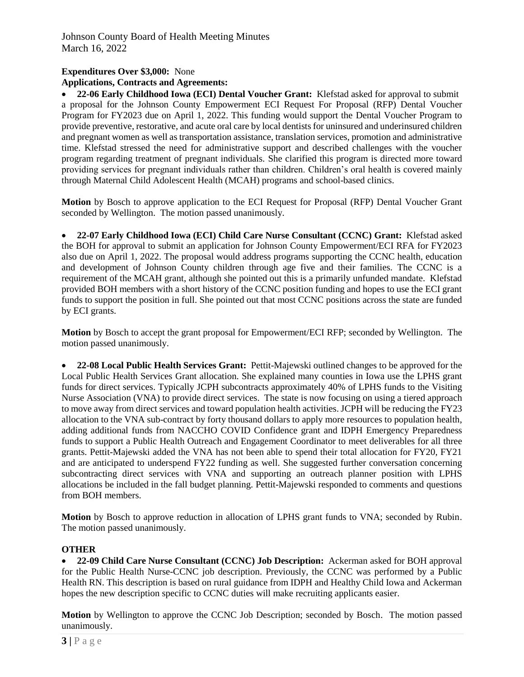## **Expenditures Over \$3,000:** None

**Applications, Contracts and Agreements:**

 **22-06 Early Childhood Iowa (ECI) Dental Voucher Grant:** Klefstad asked for approval to submit a proposal for the Johnson County Empowerment ECI Request For Proposal (RFP) Dental Voucher Program for FY2023 due on April 1, 2022. This funding would support the Dental Voucher Program to provide preventive, restorative, and acute oral care by local dentists for uninsured and underinsured children and pregnant women as well as transportation assistance, translation services, promotion and administrative time. Klefstad stressed the need for administrative support and described challenges with the voucher program regarding treatment of pregnant individuals. She clarified this program is directed more toward providing services for pregnant individuals rather than children. Children's oral health is covered mainly through Maternal Child Adolescent Health (MCAH) programs and school-based clinics.

**Motion** by Bosch to approve application to the ECI Request for Proposal (RFP) Dental Voucher Grant seconded by Wellington. The motion passed unanimously.

 **22-07 Early Childhood Iowa (ECI) Child Care Nurse Consultant (CCNC) Grant:** Klefstad asked the BOH for approval to submit an application for Johnson County Empowerment/ECI RFA for FY2023 also due on April 1, 2022. The proposal would address programs supporting the CCNC health, education and development of Johnson County children through age five and their families. The CCNC is a requirement of the MCAH grant, although she pointed out this is a primarily unfunded mandate. Klefstad provided BOH members with a short history of the CCNC position funding and hopes to use the ECI grant funds to support the position in full. She pointed out that most CCNC positions across the state are funded by ECI grants.

**Motion** by Bosch to accept the grant proposal for Empowerment/ECI RFP; seconded by Wellington. The motion passed unanimously.

 **22-08 Local Public Health Services Grant:** Pettit-Majewski outlined changes to be approved for the Local Public Health Services Grant allocation. She explained many counties in Iowa use the LPHS grant funds for direct services. Typically JCPH subcontracts approximately 40% of LPHS funds to the Visiting Nurse Association (VNA) to provide direct services. The state is now focusing on using a tiered approach to move away from direct services and toward population health activities. JCPH will be reducing the FY23 allocation to the VNA sub-contract by forty thousand dollars to apply more resources to population health, adding additional funds from NACCHO COVID Confidence grant and IDPH Emergency Preparedness funds to support a Public Health Outreach and Engagement Coordinator to meet deliverables for all three grants. Pettit-Majewski added the VNA has not been able to spend their total allocation for FY20, FY21 and are anticipated to underspend FY22 funding as well. She suggested further conversation concerning subcontracting direct services with VNA and supporting an outreach planner position with LPHS allocations be included in the fall budget planning. Pettit-Majewski responded to comments and questions from BOH members.

**Motion** by Bosch to approve reduction in allocation of LPHS grant funds to VNA; seconded by Rubin. The motion passed unanimously.

## **OTHER**

 **22-09 Child Care Nurse Consultant (CCNC) Job Description:** Ackerman asked for BOH approval for the Public Health Nurse-CCNC job description. Previously, the CCNC was performed by a Public Health RN. This description is based on rural guidance from IDPH and Healthy Child Iowa and Ackerman hopes the new description specific to CCNC duties will make recruiting applicants easier.

**Motion** by Wellington to approve the CCNC Job Description; seconded by Bosch. The motion passed unanimously.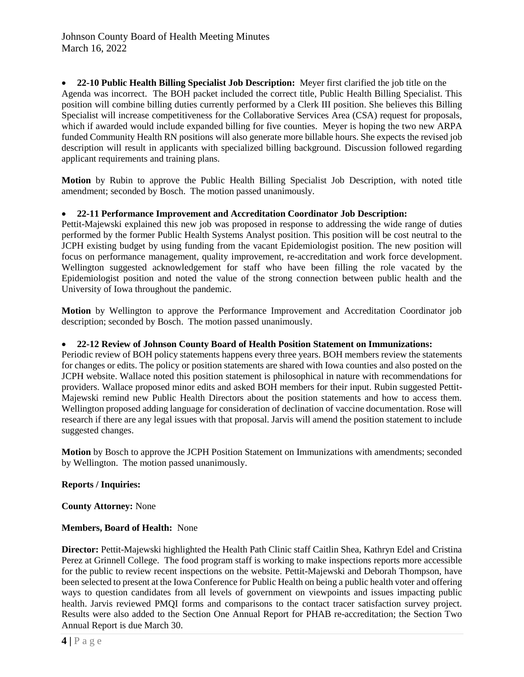**22-10 Public Health Billing Specialist Job Description:** Meyer first clarified the job title on the Agenda was incorrect. The BOH packet included the correct title, Public Health Billing Specialist. This position will combine billing duties currently performed by a Clerk III position. She believes this Billing Specialist will increase competitiveness for the Collaborative Services Area (CSA) request for proposals, which if awarded would include expanded billing for five counties. Meyer is hoping the two new ARPA funded Community Health RN positions will also generate more billable hours. She expects the revised job description will result in applicants with specialized billing background. Discussion followed regarding applicant requirements and training plans.

**Motion** by Rubin to approve the Public Health Billing Specialist Job Description, with noted title amendment; seconded by Bosch. The motion passed unanimously.

#### **22-11 Performance Improvement and Accreditation Coordinator Job Description:**

Pettit-Majewski explained this new job was proposed in response to addressing the wide range of duties performed by the former Public Health Systems Analyst position. This position will be cost neutral to the JCPH existing budget by using funding from the vacant Epidemiologist position. The new position will focus on performance management, quality improvement, re-accreditation and work force development. Wellington suggested acknowledgement for staff who have been filling the role vacated by the Epidemiologist position and noted the value of the strong connection between public health and the University of Iowa throughout the pandemic.

**Motion** by Wellington to approve the Performance Improvement and Accreditation Coordinator job description; seconded by Bosch. The motion passed unanimously.

#### **22-12 Review of Johnson County Board of Health Position Statement on Immunizations:**

Periodic review of BOH policy statements happens every three years. BOH members review the statements for changes or edits. The policy or position statements are shared with Iowa counties and also posted on the JCPH website. Wallace noted this position statement is philosophical in nature with recommendations for providers. Wallace proposed minor edits and asked BOH members for their input. Rubin suggested Pettit-Majewski remind new Public Health Directors about the position statements and how to access them. Wellington proposed adding language for consideration of declination of vaccine documentation. Rose will research if there are any legal issues with that proposal. Jarvis will amend the position statement to include suggested changes.

**Motion** by Bosch to approve the JCPH Position Statement on Immunizations with amendments; seconded by Wellington. The motion passed unanimously.

#### **Reports / Inquiries:**

**County Attorney:** None

#### **Members, Board of Health:** None

**Director:** Pettit-Majewski highlighted the Health Path Clinic staff Caitlin Shea, Kathryn Edel and Cristina Perez at Grinnell College. The food program staff is working to make inspections reports more accessible for the public to review recent inspections on the website. Pettit-Majewski and Deborah Thompson, have been selected to present at the Iowa Conference for Public Health on being a public health voter and offering ways to question candidates from all levels of government on viewpoints and issues impacting public health. Jarvis reviewed PMQI forms and comparisons to the contact tracer satisfaction survey project. Results were also added to the Section One Annual Report for PHAB re-accreditation; the Section Two Annual Report is due March 30.